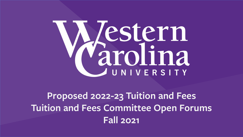# Mestern

# **Proposed 2022-23 Tuition and Fees Tuition and Fees Committee Open Forums Fall 2021**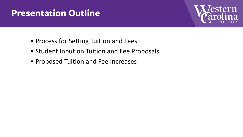### **Presentation Outline**



- Process for Setting Tuition and Fees
- Student Input on Tuition and Fee Proposals
- Proposed Tuition and Fee Increases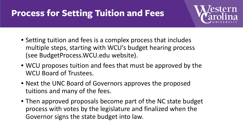# **Process for Setting Tuition and Fees**



- Setting tuition and fees is a complex process that includes multiple steps, starting with WCU's budget hearing process (see BudgetProcess.WCU.edu website).
- WCU proposes tuition and fees that must be approved by the WCU Board of Trustees.
- Next the UNC Board of Governors approves the proposed tuitions and many of the fees.
- Then approved proposals become part of the NC state budget process with votes by the legislature and finalized when the Governor signs the state budget into law.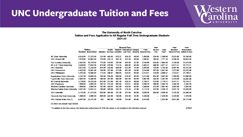#### **UNC Undergraduate Tuition and Fees**

*l*estern<br>arolina

#### The University of North Carolina Tuition and Fees Applicable to All Regular Full-Time Undergraduate Students 2021-22

|                                        |                |                             | <b>General Fees</b> |        |        |                                   |       |                                                               | Debt           |          | Total                     | Total                     |
|----------------------------------------|----------------|-----------------------------|---------------------|--------|--------|-----------------------------------|-------|---------------------------------------------------------------|----------------|----------|---------------------------|---------------------------|
|                                        | <b>Tuition</b> |                             |                     | Health |        | <b>Student Educational Campus</b> |       | <b>Total</b>                                                  | <b>Service</b> | Total    | <b>Resident</b>           | <b>Nonresident</b>        |
|                                        |                | <b>Resident Nonresident</b> |                     |        |        |                                   |       | Athletics Services Activities and Tech. Security General Fees | Fee            | Fees*    | <b>Tuition &amp; Fees</b> | <b>Tuition &amp; Fees</b> |
| <b>NC State University</b>             | 6,535.00       | 27,320.00                   | 232.00              | 445.00 | 679.32 | 439.28                            | 60.00 | 1.855.60                                                      | 534.00         | 2,389.60 | 8,924.60                  | 29.709.60                 |
| UNC-Chapel Hill                        | 7,019.00       | 34,882.00                   | 279.00              | 410.15 | 394.16 | 442.30                            | 60.00 | 1,585.61                                                      | 185.85         | 1,771.46 | 8,790.46                  | 36,653.46                 |
| <b>East Carolina University</b>        | 4,452.00       | 20,729.00                   | 773.00              | 319.00 | 702.00 | 403.00                            | 52.00 | 2,249.00                                                      | 445.00         | 2,694.00 | 7,146.00                  | 23,423.00                 |
| <b>NC A &amp; T State University</b>   | 3.540.00       | 17.050.00                   | 870.00              | 370.00 | 714.25 | 469.06                            | 60.00 | 2.483.31                                                      | 588.00         | 3.071.31 | 6.611.31                  | 20,121.31                 |
| <b>UNC Charlotte</b>                   | 3,812.00       | 17.246.00                   | 824.00              | 335.00 | 650.00 | 622.00                            | 34.00 | 2,465.00                                                      | 720.00         | 3,185.00 | 6,997.00                  | 20,431.00                 |
| <b>UNC Greensboro</b>                  | 4,422.00       | 19.581.00                   | 780.00              | 372.00 | 577.00 | 461.00                            | 54.00 | 2,244.00                                                      | 707.00         | 2.951.00 | 7.373.00                  | 22,532.00                 |
| UNC Wilmington                         | 4,443.00       | 18,508.00                   | 774.55              | 246.07 | 698.95 | 534.94                            | 60.00 | 2,314.51                                                      | 376.00         | 2,690.51 | 7,133.51                  | 21,198.51                 |
| Appalachian State University           | 4,242.00       | 19.849.00                   | 783.00              | 335.00 | 659.00 | 576.00                            | 60.00 | 2,413.00                                                      | 634.00         | 3,047.00 | 7.289.00                  | 22,896.00                 |
| <b>Fayetteville State University</b>   | 2,982.00       | 14,590.00                   | 768.00              | 287.00 | 565.00 | 382.00                            | 60.00 | 2,062.00                                                      | 335.00         | 2,397.00 | 5,379.00                  | 16,987.00                 |
| <b>NC Central University</b>           | 3,728.00       | 16.435.00                   | 847.00              | 312.66 | 501.40 | 428.15                            | 60.00 | 2.149.21                                                      | 570.00         | 2.719.21 | 6,447.21                  | 19,154.21                 |
| <b>UNC Pembroke</b>                    | 1,000.00       | 5,000.00                    | 781.52              | 215.49 | 697.84 | 533.91                            | 60.00 | 2,288.76                                                      | 206.00         | 2,494.76 | 3,494.76                  | 7,494.76                  |
| <b>Western Carolina University</b>     | 1,000.00       | 5,000.00                    | 782.00              | 350.00 | 632.00 | 544.00                            | 60.00 | 2,368.00                                                      | 523.00         | 2,891.00 | 3,891.00                  | 7,891.00                  |
| Winston-Salem State University         | 3,401.00       | 14.057.44                   | 780.00              | 340.00 | 545.70 | 416.46                            | 31.00 | 2,113.16                                                      | 423.00         | 2,536.16 | 5,937.16                  | 16,593.60                 |
| <b>UNC Asheville</b>                   | 4,122.00       | 21,470.00                   | 855.00              | 403.00 | 791.50 | 527.00                            | 60.00 | 2,636.50                                                      | 394.00         | 3,030.50 | 7,152.50                  | 24,500.50                 |
| <b>Elizabeth City State University</b> | 1,000.00       | 5,000.00                    | 899.00              | 333.00 | 738.00 | 326.00                            | 30.00 | 2,326.00                                                      | —              | 2,326.00 | 3,326.00                  | 7,326.00                  |
| UNC School of the Arts (1)             | 6.497.00       | 23,731.00                   | N/A                 | 882.00 | 748.00 | 754.00                            | 60.00 | 2,444.00                                                      | Ξ.             | 2.444.00 | 8,941.00                  | 26,175.00                 |

(1) Does not include High School

\* In addition to the fees above, the Board also authorized a \$1 ASG fee which is not included in the total fees amount.

2/18/21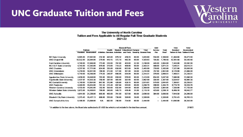#### **UNC Graduate Tuition and Fees**



#### The University of North Carolina Tuition and Fees Applicable to All Regular Full-Time Graduate Students 2021-22

|                                        |                |                    | <b>General Fees</b> |        |                                   |        |              |                                                               | <b>Debt</b> |                   | <b>Total</b>              | Total                     |
|----------------------------------------|----------------|--------------------|---------------------|--------|-----------------------------------|--------|--------------|---------------------------------------------------------------|-------------|-------------------|---------------------------|---------------------------|
|                                        | <b>Tuition</b> |                    | <b>Health</b>       |        | <b>Student Educational Campus</b> |        | <b>Total</b> | <b>Service</b>                                                | Total       | <b>Resident</b>   | <b>No mesident</b>        |                           |
|                                        | Resident       | <b>Nonresident</b> |                     |        |                                   |        |              | Athletics Services Activities and Tech. Security General Fees | Fee         | Fees <sup>*</sup> | <b>Tuition &amp; Fees</b> | <b>Tuition &amp; Fees</b> |
| <b>NC State University</b>             | 9,095.00       | 27,082.00          | 232.00              | 445.00 | 679.32                            | 439.28 | 60.00        | 1,855.60                                                      | 534.00      | 2,389.60          | 11.484.60                 | 29,471.60                 |
| UNC-Chapel Hill                        | 10,552.00      | 28,844.00          | 279.00              | 410.15 | 372.18                            | 442.30 | 60.00        | 1,563.63                                                      | 185.85      | 1,749.48          | 12.301.48                 | 30,593.48                 |
| <b>East Carolina University</b>        | 4.749.00       | 17,898.00          | 773.00              | 319.00 | 702.00                            | 403.00 | 52.00        | 2,249.00                                                      | 445.00      | 2694.00           | 7,443.00                  | 20,592.00                 |
| <b>NC A &amp; T State University</b>   | 4,745.00       | 17,545.00          | 870.00              | 370.00 | 714.25                            | 469.06 | 60.00        | 2,483.31                                                      | 588.00      | 3,071.31          | 7,816.31                  | 20,616.31                 |
| <b>UNC Charlotte</b>                   | 4,337.00       | 17,771.00          | 824.00              | 335.00 | 650.00                            | 622.00 | 34.00        | 2,465.00                                                      | 720.00      | 3.185.00          | 7,522.00                  | 20,956.00                 |
| <b>UNC Greensboro</b>                  | 5,219.00       | 18,937.00          | 780.00              | 37200  | 577.00                            | 461.00 | 54.00        | 2,244.00                                                      | 707.00      | 2,951.00          | 8,170.00                  | 21,888.00                 |
| <b>UNC Wilmington</b>                  | 4,719.00       | 18.548.00          | 774.55              | 246.07 | 698.95                            | 534.94 | 60.00        | 2,314.51                                                      | 376.00      | 2690.51           | 7,409.51                  | 21,238.51                 |
| Appalachian State University           | 4,839.00       | 19,849.00          | 783.00              | 335.00 | 659.00                            | 576.00 | 60.00        | 2,413.00                                                      | 634.00      | 3,047.00          | 7,886.00                  | 22,896.00                 |
| Favetteville State University          | 3,437.97       | 14,503.38          | 768.00              | 287.00 | 565.00                            | 382.00 | 60.00        | 2,062.00                                                      | 335.00      | 2,397.00          | 5,834.97                  | 16,900.38                 |
| <b>NC Central University</b>           | 4,740.00       | 17,694.00          | 847.00              | 312.66 | 426.80                            | 428.15 | 60.00        | 2,074.61                                                      | 570.00      | 2644.61           | 7,384.61                  | 20,338.61                 |
| <b>UNC Pembroke</b>                    | 4,280.00       | 16.834.00          | 781.52              | 215.49 | 697.84                            | 533.91 | 60.00        | 2.288.76                                                      | 206.00      | 2,494.76          | 6,774.76                  | 19,328.76                 |
| Western Carolina University            | 4,435.00       | 14.842.00          | 782.00              | 350.00 | 632.00                            | 544.00 | 60.00        | 2.368.00                                                      | 523.00      | 2891.00           | 7,326.00                  | 17,733.00                 |
| Winston-Salem State University         | 3,872.00       | 14,406.61          | 780.00              | 340.00 | 545.70                            | 416.46 | 31.00        | 2,113.16                                                      | 423.00      | 2,536.16          | 6,408.16                  | 16,942.77                 |
| <b>UNC Asheville</b>                   | 4.914.00       | 21.236.00          | 855.00              | 403.00 | 791.50                            | 527.00 | 60.00        | 2,636.50                                                      | 394.00      | 3,030.50          | 7,944.50                  | 24,266.50                 |
| <b>Elizabeth City State University</b> | 3,375.43       | 16,437.13          | 899.00              | 333.00 | 738.00                            | 326.00 | 30.00        | 2,326.00                                                      |             | 2,326.00          | 5,701.43                  | 18,763.13                 |
| <b>UNC School of the Arts</b>          | 9,196.00       | 23,899.00          | N/Α                 | 882.00 | 748.00                            | 754.00 | 60.00        | 2.444.00                                                      |             | 2,444.00          | 11,640.00                 | 26,343.00                 |

\* In addition to the fees above, the Board also authorized a \$1 ASG fee which is not included in the total fees amount.

2/18/21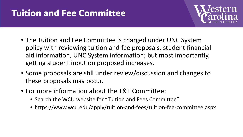# **Tuition and Fee Committee**



- The Tuition and Fee Committee is charged under UNC System policy with reviewing tuition and fee proposals, student financial aid information, UNC System information; but most importantly, getting student input on proposed increases.
- Some proposals are still under review/discussion and changes to these proposals may occur.
- For more information about the T&F Committee:
	- Search the WCU website for "Tuition and Fees Committee"
	- https://www.wcu.edu/apply/tuition-and-fees/tuition-fee-committee.aspx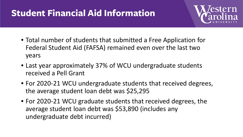# **Student Financial Aid Information**



- Total number of students that submitted a Free Application for Federal Student Aid (FAFSA) remained even over the last two years
- Last year approximately 37% of WCU undergraduate students received a Pell Grant
- For 2020-21 WCU undergraduate students that received degrees, the average student loan debt was \$25,295
- For 2020-21 WCU graduate students that received degrees, the average student loan debt was \$53,890 (includes any undergraduate debt incurred)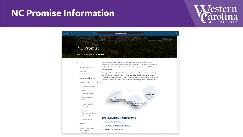#### **NC Promise Information**



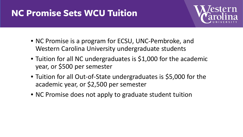# **NC Promise Sets WCU Tuition**



- NC Promise is a program for ECSU, UNC-Pembroke, and Western Carolina University undergraduate students
- Tuition for all NC undergraduates is \$1,000 for the academic year, or \$500 per semester
- Tuition for all Out-of-State undergraduates is \$5,000 for the academic year, or \$2,500 per semester
- NC Promise does not apply to graduate student tuition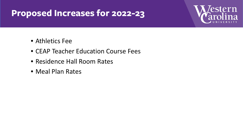### **Proposed Increases for 2022-23**



- Athletics Fee
- CEAP Teacher Education Course Fees
- Residence Hall Room Rates
- Meal Plan Rates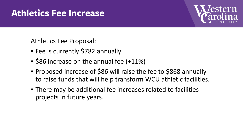#### **Athletics Fee Increase**



Athletics Fee Proposal:

- Fee is currently \$782 annually
- \$86 increase on the annual fee (+11%)
- Proposed increase of \$86 will raise the fee to \$868 annually to raise funds that will help transform WCU athletic facilities.
- There may be additional fee increases related to facilities projects in future years.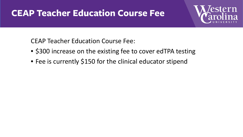#### **CEAP Teacher Education Course Fee**



CEAP Teacher Education Course Fee:

- \$300 increase on the existing fee to cover edTPA testing
- Fee is currently \$150 for the clinical educator stipend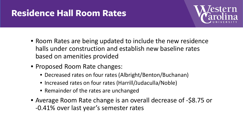# **Residence Hall Room Rates**



- Room Rates are being updated to include the new residence halls under construction and establish new baseline rates based on amenities provided
- Proposed Room Rate changes:
	- Decreased rates on four rates (Albright/Benton/Buchanan)
	- Increased rates on four rates (Harrill/Judaculla/Noble)
	- Remainder of the rates are unchanged
- Average Room Rate change is an overall decrease of -\$8.75 or -0.41% over last year's semester rates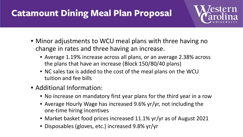# **Catamount Dining Meal Plan Proposal**



- Minor adjustments to WCU meal plans with three having no change in rates and three having an increase.
	- Average 1.19% increase across all plans, or an average 2.38% across the plans that have an increase (Block 150/80/40 plans)
	- NC sales tax is added to the cost of the meal plans on the WCU tuition and fee bills
- Additional Information:
	- No increase on mandatory first year plans for the third year in a row
	- Average Hourly Wage has increased 9.6% yr/yr, not including the one-time hiring incentives
	- Market basket food prices increased 11.1% yr/yr as of August 2021
	- Disposables (gloves, etc.) increased 9.8% yr/yr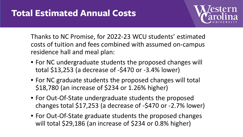

Thanks to NC Promise, for 2022-23 WCU students' estimated costs of tuition and fees combined with assumed on-campus residence hall and meal plan:

- For NC undergraduate students the proposed changes will total \$13,253 (a decrease of -\$470 or -3.4% lower)
- For NC graduate students the proposed changes will total \$18,780 (an increase of \$234 or 1.26% higher)
- For Out-Of-State undergraduate students the proposed changes total \$17,253 (a decrease of -\$470 or -2.7% lower)
- For Out-Of-State graduate students the proposed changes will total \$29,186 (an increase of \$234 or 0.8% higher)